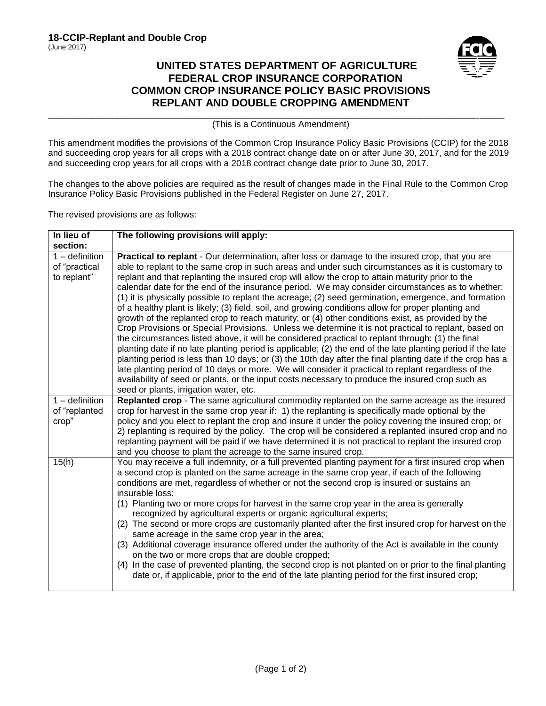

## **UNITED STATES DEPARTMENT OF AGRICULTURE FEDERAL CROP INSURANCE CORPORATION COMMON CROP INSURANCE POLICY BASIC PROVISIONS REPLANT AND DOUBLE CROPPING AMENDMENT**

\_\_\_\_\_\_\_\_\_\_\_\_\_\_\_\_\_\_\_\_\_\_\_\_\_\_\_\_\_\_\_\_\_\_\_\_\_\_\_\_\_\_\_\_\_\_\_\_\_\_\_\_\_\_\_\_\_\_\_\_\_\_\_\_\_\_\_\_\_\_\_\_\_\_\_\_\_\_\_\_\_\_\_\_\_\_\_\_\_\_\_\_ (This is a Continuous Amendment)

This amendment modifies the provisions of the Common Crop Insurance Policy Basic Provisions (CCIP) for the 2018 and succeeding crop years for all crops with a 2018 contract change date on or after June 30, 2017, and for the 2019 and succeeding crop years for all crops with a 2018 contract change date prior to June 30, 2017.

The changes to the above policies are required as the result of changes made in the Final Rule to the Common Crop Insurance Policy Basic Provisions published in the Federal Register on June 27, 2017.

The revised provisions are as follows:

| In lieu of                                       | The following provisions will apply:                                                                                                                                                                                                                                                                                                                                                                                                                                                                                                                                                                                                                                                                                                                                                                                                                                                                                                                                                                                                                                                                                                                                                                                                                                                                                                                                                                                          |
|--------------------------------------------------|-------------------------------------------------------------------------------------------------------------------------------------------------------------------------------------------------------------------------------------------------------------------------------------------------------------------------------------------------------------------------------------------------------------------------------------------------------------------------------------------------------------------------------------------------------------------------------------------------------------------------------------------------------------------------------------------------------------------------------------------------------------------------------------------------------------------------------------------------------------------------------------------------------------------------------------------------------------------------------------------------------------------------------------------------------------------------------------------------------------------------------------------------------------------------------------------------------------------------------------------------------------------------------------------------------------------------------------------------------------------------------------------------------------------------------|
| section:                                         |                                                                                                                                                                                                                                                                                                                                                                                                                                                                                                                                                                                                                                                                                                                                                                                                                                                                                                                                                                                                                                                                                                                                                                                                                                                                                                                                                                                                                               |
| $1 -$ definition<br>of "practical<br>to replant" | Practical to replant - Our determination, after loss or damage to the insured crop, that you are<br>able to replant to the same crop in such areas and under such circumstances as it is customary to<br>replant and that replanting the insured crop will allow the crop to attain maturity prior to the<br>calendar date for the end of the insurance period. We may consider circumstances as to whether:<br>(1) it is physically possible to replant the acreage; (2) seed germination, emergence, and formation<br>of a healthy plant is likely; (3) field, soil, and growing conditions allow for proper planting and<br>growth of the replanted crop to reach maturity; or (4) other conditions exist, as provided by the<br>Crop Provisions or Special Provisions. Unless we determine it is not practical to replant, based on<br>the circumstances listed above, it will be considered practical to replant through: (1) the final<br>planting date if no late planting period is applicable; (2) the end of the late planting period if the late<br>planting period is less than 10 days; or (3) the 10th day after the final planting date if the crop has a<br>late planting period of 10 days or more. We will consider it practical to replant regardless of the<br>availability of seed or plants, or the input costs necessary to produce the insured crop such as<br>seed or plants, irrigation water, etc. |
| $1$ – definition<br>of "replanted<br>crop"       | Replanted crop - The same agricultural commodity replanted on the same acreage as the insured<br>crop for harvest in the same crop year if: 1) the replanting is specifically made optional by the<br>policy and you elect to replant the crop and insure it under the policy covering the insured crop; or<br>2) replanting is required by the policy. The crop will be considered a replanted insured crop and no<br>replanting payment will be paid if we have determined it is not practical to replant the insured crop<br>and you choose to plant the acreage to the same insured crop.                                                                                                                                                                                                                                                                                                                                                                                                                                                                                                                                                                                                                                                                                                                                                                                                                                 |
| 15(h)                                            | You may receive a full indemnity, or a full prevented planting payment for a first insured crop when<br>a second crop is planted on the same acreage in the same crop year, if each of the following<br>conditions are met, regardless of whether or not the second crop is insured or sustains an<br>insurable loss:<br>(1) Planting two or more crops for harvest in the same crop year in the area is generally<br>recognized by agricultural experts or organic agricultural experts;<br>(2) The second or more crops are customarily planted after the first insured crop for harvest on the<br>same acreage in the same crop year in the area;<br>(3) Additional coverage insurance offered under the authority of the Act is available in the county<br>on the two or more crops that are double cropped;<br>(4) In the case of prevented planting, the second crop is not planted on or prior to the final planting<br>date or, if applicable, prior to the end of the late planting period for the first insured crop;                                                                                                                                                                                                                                                                                                                                                                                               |